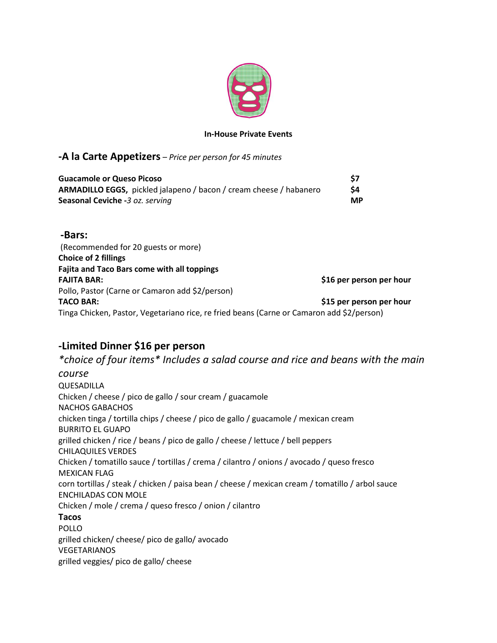

#### **In-House Private Events**

### **-A la Carte Appetizers** – *Price per person for 45 minutes*

| <b>Guacamole or Queso Picoso</b>                                          | \$7       |
|---------------------------------------------------------------------------|-----------|
| <b>ARMADILLO EGGS,</b> pickled jalapeno / bacon / cream cheese / habanero | S4        |
| Seasonal Ceviche -3 oz. serving                                           | <b>MP</b> |

**-Bars:** (Recommended for 20 guests or more) **Choice of 2 fillings Fajita and Taco Bars come with all toppings FAJITA BAR: \$16 per person per hour** Pollo, Pastor (Carne or Camaron add \$2/person) **TACO BAR: \$15 per person per hour** Tinga Chicken, Pastor, Vegetariano rice, re fried beans (Carne or Camaron add \$2/person)

## **-Limited Dinner \$16 per person**

*\*choice of four items\* Includes a salad course and rice and beans with the main course* QUESADILLA Chicken / cheese / pico de gallo / sour cream / guacamole NACHOS GABACHOS chicken tinga / tortilla chips / cheese / pico de gallo / guacamole / mexican cream BURRITO EL GUAPO grilled chicken / rice / beans / pico de gallo / cheese / lettuce / bell peppers CHILAQUILES VERDES Chicken / tomatillo sauce / tortillas / crema / cilantro / onions / avocado / queso fresco MEXICAN FLAG corn tortillas / steak / chicken / paisa bean / cheese / mexican cream / tomatillo / arbol sauce ENCHILADAS CON MOLE Chicken / mole / crema / queso fresco / onion / cilantro **Tacos** POLLO grilled chicken/ cheese/ pico de gallo/ avocado VEGETARIANOS grilled veggies/ pico de gallo/ cheese